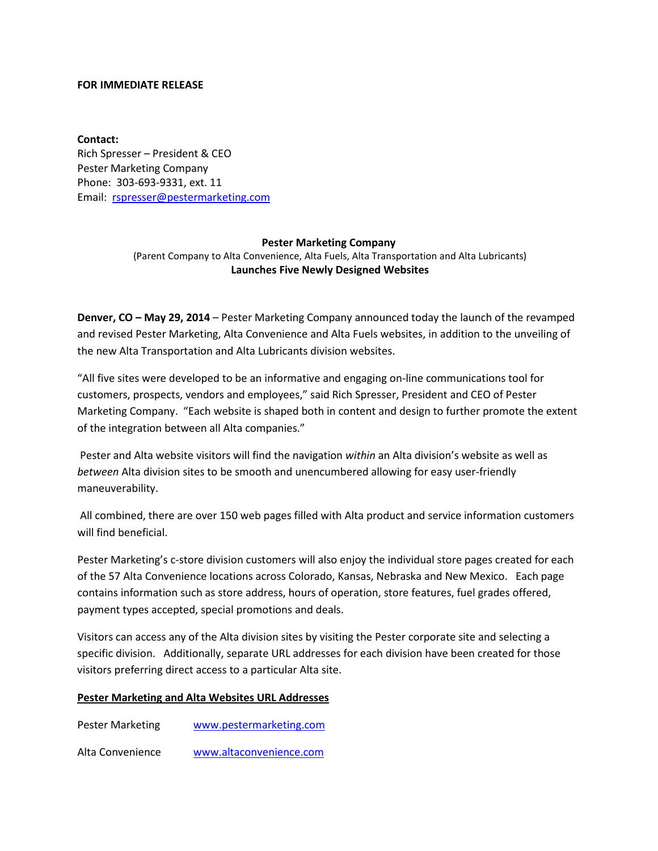## **FOR IMMEDIATE RELEASE**

**Contact:** Rich Spresser – President & CEO Pester Marketing Company Phone: 303-693-9331, ext. 11 Email: [rspresser@pestermarketing.com](mailto:rspresser@pestermarketing.com)

## **Pester Marketing Company**

(Parent Company to Alta Convenience, Alta Fuels, Alta Transportation and Alta Lubricants) **Launches Five Newly Designed Websites**

**Denver, CO – May 29, 2014** – Pester Marketing Company announced today the launch of the revamped and revised Pester Marketing, Alta Convenience and Alta Fuels websites, in addition to the unveiling of the new Alta Transportation and Alta Lubricants division websites.

"All five sites were developed to be an informative and engaging on-line communications tool for customers, prospects, vendors and employees," said Rich Spresser, President and CEO of Pester Marketing Company. "Each website is shaped both in content and design to further promote the extent of the integration between all Alta companies."

Pester and Alta website visitors will find the navigation *within* an Alta division's website as well as *between* Alta division sites to be smooth and unencumbered allowing for easy user-friendly maneuverability.

All combined, there are over 150 web pages filled with Alta product and service information customers will find beneficial.

Pester Marketing's c-store division customers will also enjoy the individual store pages created for each of the 57 Alta Convenience locations across Colorado, Kansas, Nebraska and New Mexico. Each page contains information such as store address, hours of operation, store features, fuel grades offered, payment types accepted, special promotions and deals.

Visitors can access any of the Alta division sites by visiting the Pester corporate site and selecting a specific division. Additionally, separate URL addresses for each division have been created for those visitors preferring direct access to a particular Alta site.

## **Pester Marketing and Alta Websites URL Addresses**

Pester Marketing [www.pestermarketing.com](http://www.pestermarketing.com/)

Alta Convenience [www.altaconvenience.com](http://www.altaconvenience.com/)